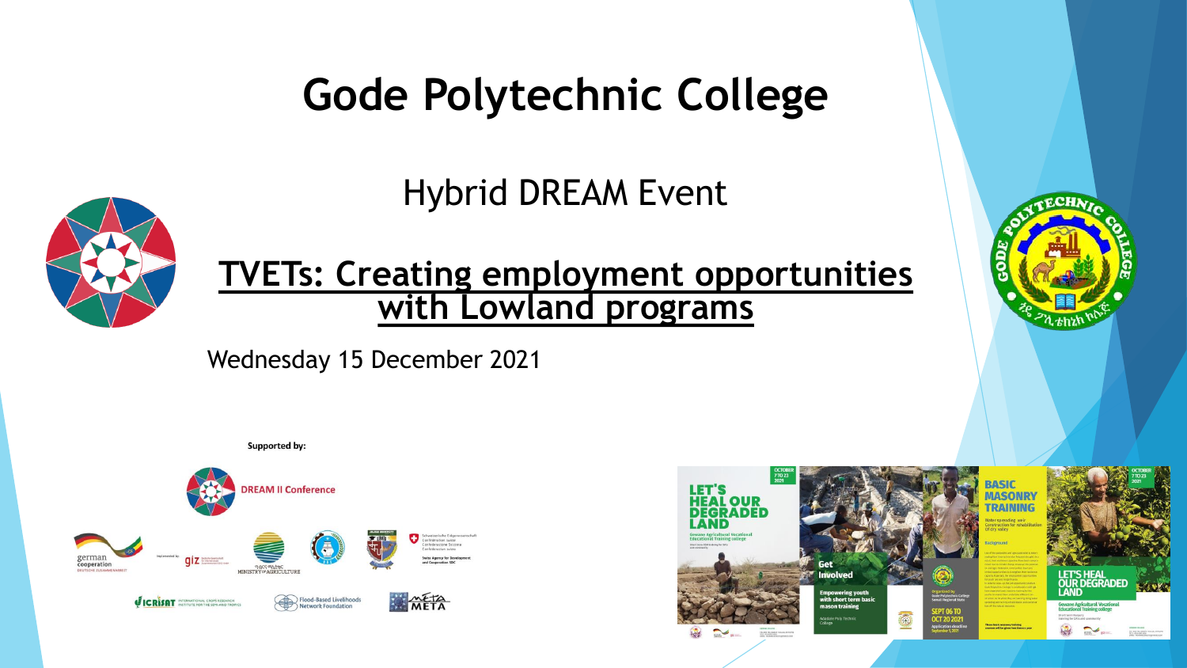#### **Gode Polytechnic College**

Hybrid DREAM Event



**TVETs: Creating employment opportunities with Lowland programs**

Wednesday 15 December 2021





**ECHN**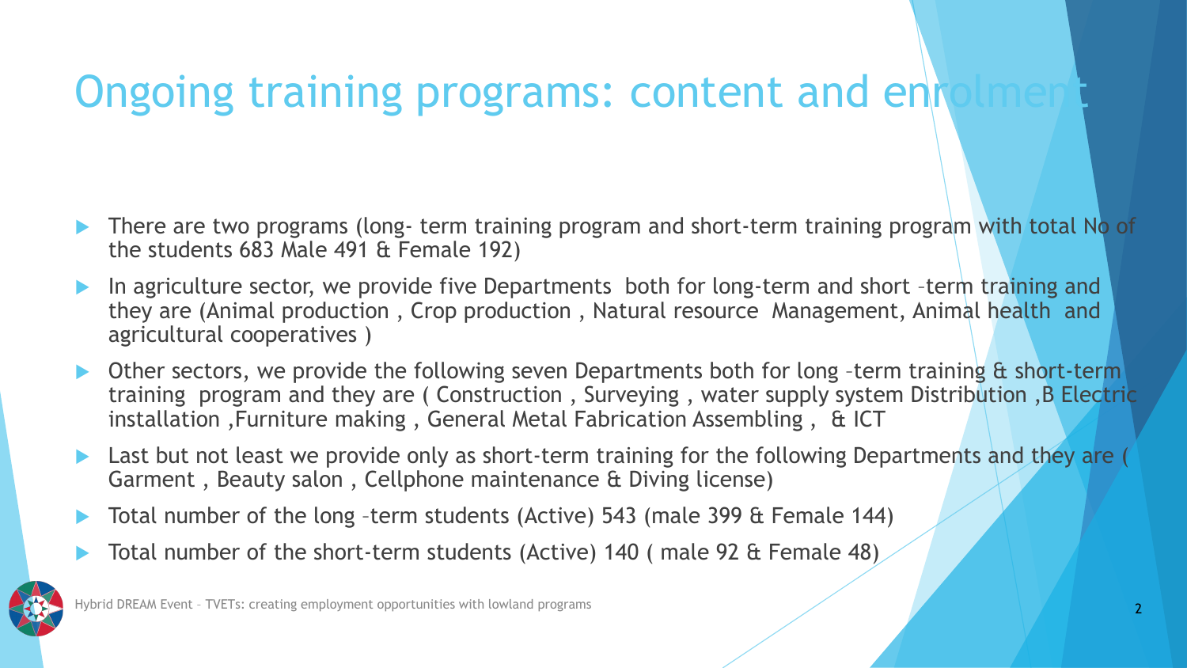## Ongoing training programs: content and enrol

- There are two programs (long- term training program and short-term training program with total No of the students 683 Male 491 & Female 192)
- In agriculture sector, we provide five Departments both for long-term and short –term training and they are (Animal production , Crop production , Natural resource Management, Animal health and agricultural cooperatives )
- Other sectors, we provide the following seven Departments both for long -term training & short-term training program and they are ( Construction , Surveying , water supply system Distribution ,B Electric installation ,Furniture making , General Metal Fabrication Assembling , & ICT
- Last but not least we provide only as short-term training for the following Departments and they are ( Garment , Beauty salon , Cellphone maintenance & Diving license)
- Total number of the long –term students (Active) 543 (male 399 & Female 144)
- Total number of the short-term students (Active) 140 ( male 92 & Female 48)

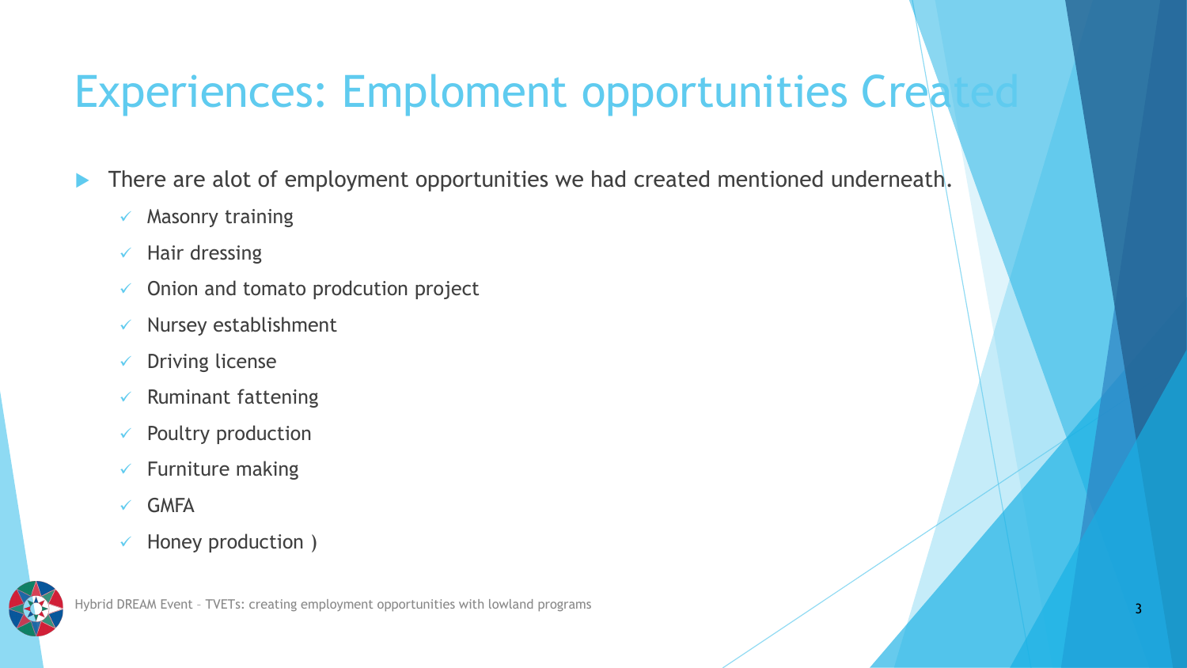# Experiences: Emploment opportunities Crea

There are alot of employment opportunities we had created mentioned underneath.

- $\times$  Masonry training
- $\checkmark$  Hair dressing
- $\checkmark$  Onion and tomato prodcution project
- $\checkmark$  Nursey establishment
- ✓ Driving license
- $\checkmark$  Ruminant fattening
- $\checkmark$  Poultry production
- $\checkmark$  Furniture making
- ✓ GMFA
- $\checkmark$  Honey production )

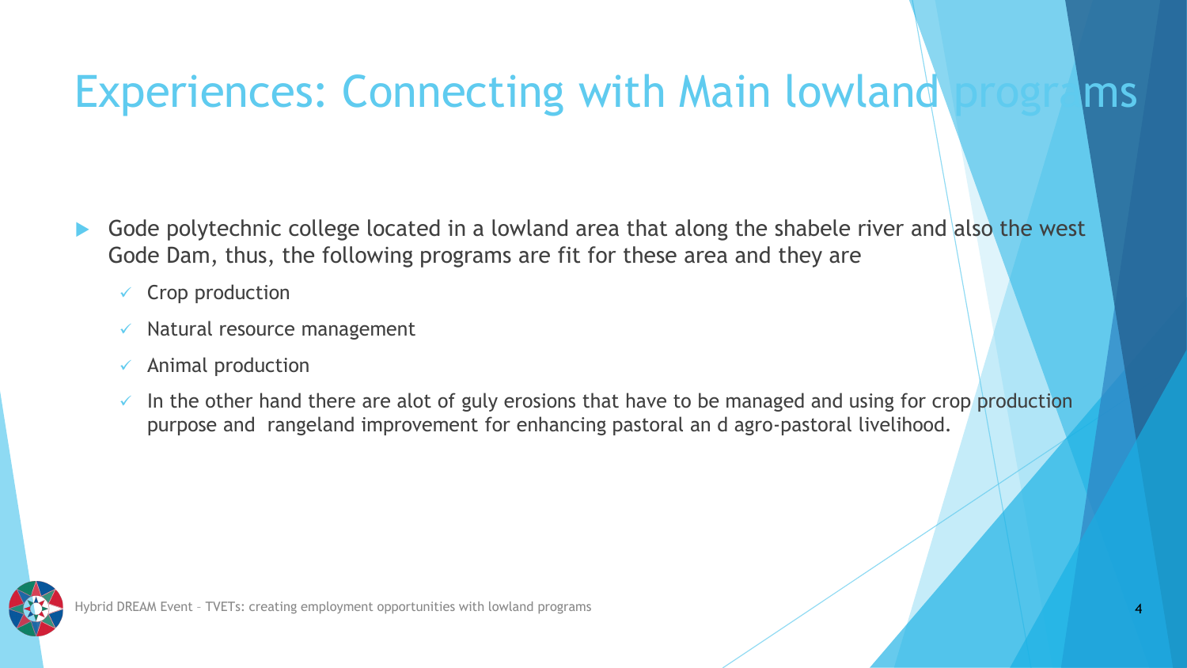# Experiences: Connecting with Main lowland programs

- Gode polytechnic college located in a lowland area that along the shabele river and also the west Gode Dam, thus, the following programs are fit for these area and they are
	- $\checkmark$  Crop production
	- $\checkmark$  Natural resource management
	- $\checkmark$  Animal production
	- $\checkmark$  In the other hand there are alot of guly erosions that have to be managed and using for crop production purpose and rangeland improvement for enhancing pastoral an d agro-pastoral livelihood.

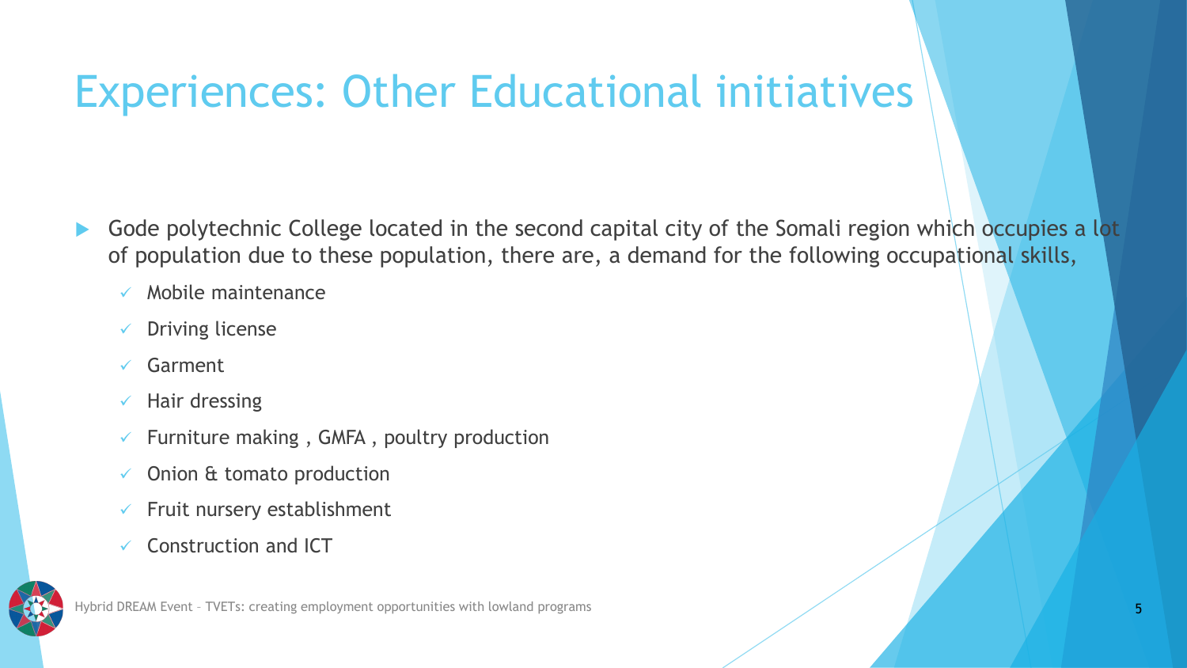# Experiences: Other Educational initiatives

- Gode polytechnic College located in the second capital city of the Somali region which occupies a lot of population due to these population, there are, a demand for the following occupational skills,
	- ✓ Mobile maintenance
	- ✓ Driving license
	- ✓ Garment
	- $\checkmark$  Hair dressing
	- $\checkmark$  Furniture making, GMFA, poultry production
	- $\checkmark$  Onion & tomato production
	- $\checkmark$  Fruit nursery establishment
	- ✓ Construction and ICT

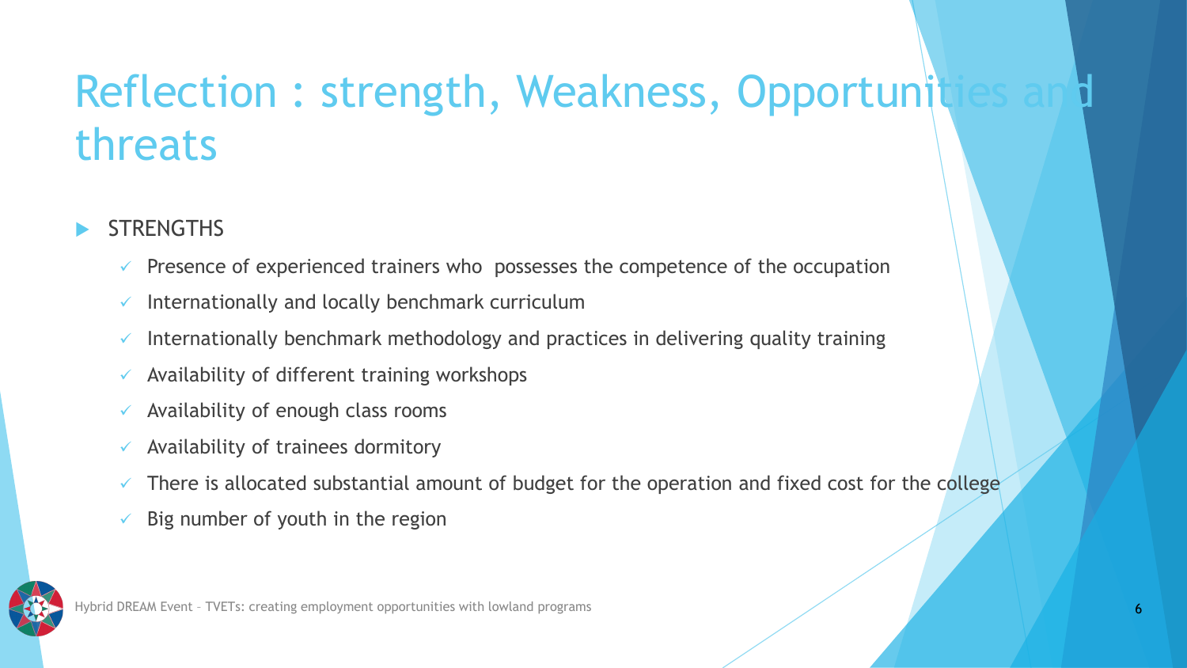## Reflection : strength, Weakness, Opportunit threats

- **STRENGTHS** 
	- $\checkmark$  Presence of experienced trainers who possesses the competence of the occupation
	- $\checkmark$  Internationally and locally benchmark curriculum
	- $\checkmark$  Internationally benchmark methodology and practices in delivering quality training
	- $\checkmark$  Availability of different training workshops
	- $\checkmark$  Availability of enough class rooms
	- $\checkmark$  Availability of trainees dormitory
	- $\checkmark$  There is allocated substantial amount of budget for the operation and fixed cost for the college
	- $\checkmark$  Big number of youth in the region



Hybrid DREAM Event – TVETs: creating employment opportunities with lowland programs 6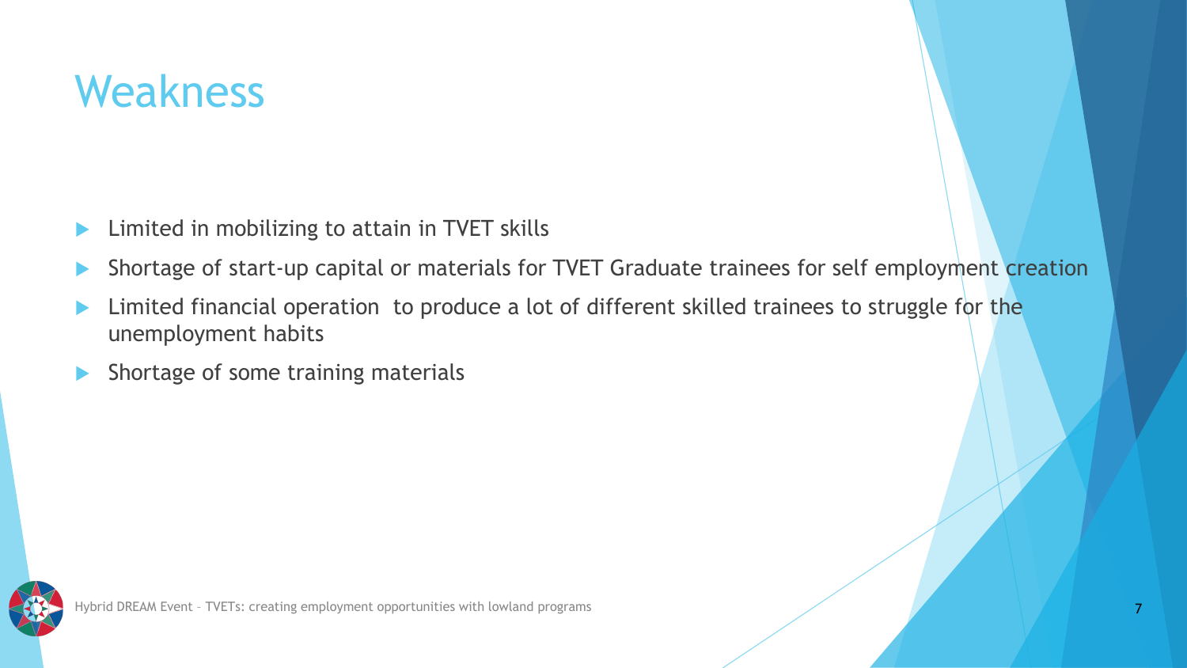#### Weakness

- Limited in mobilizing to attain in TVET skills
- Shortage of start-up capital or materials for TVET Graduate trainees for self employment creation
- Limited financial operation to produce a lot of different skilled trainees to struggle for the unemployment habits
- Shortage of some training materials

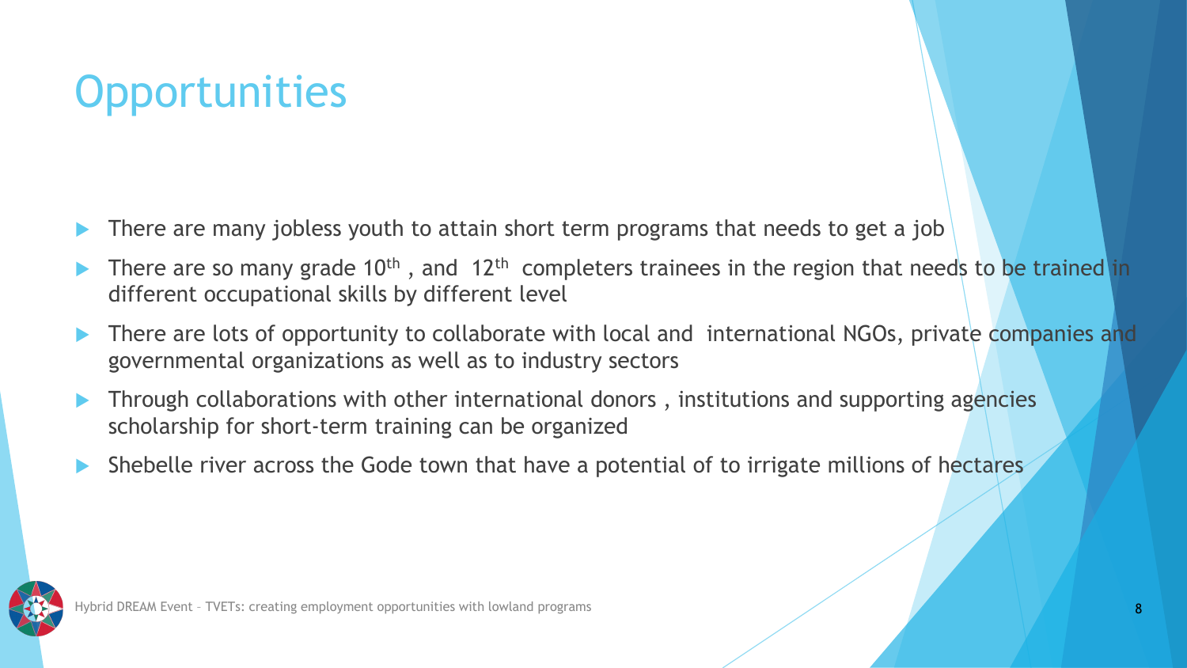# **Opportunities**

- There are many jobless youth to attain short term programs that needs to get a job
- There are so many grade 10<sup>th</sup>, and 12<sup>th</sup> completers trainees in the region that needs to be trained in different occupational skills by different level
- There are lots of opportunity to collaborate with local and international NGOs, private companies and governmental organizations as well as to industry sectors
- Through collaborations with other international donors , institutions and supporting agencies scholarship for short-term training can be organized
- Shebelle river across the Gode town that have a potential of to irrigate millions of hectares

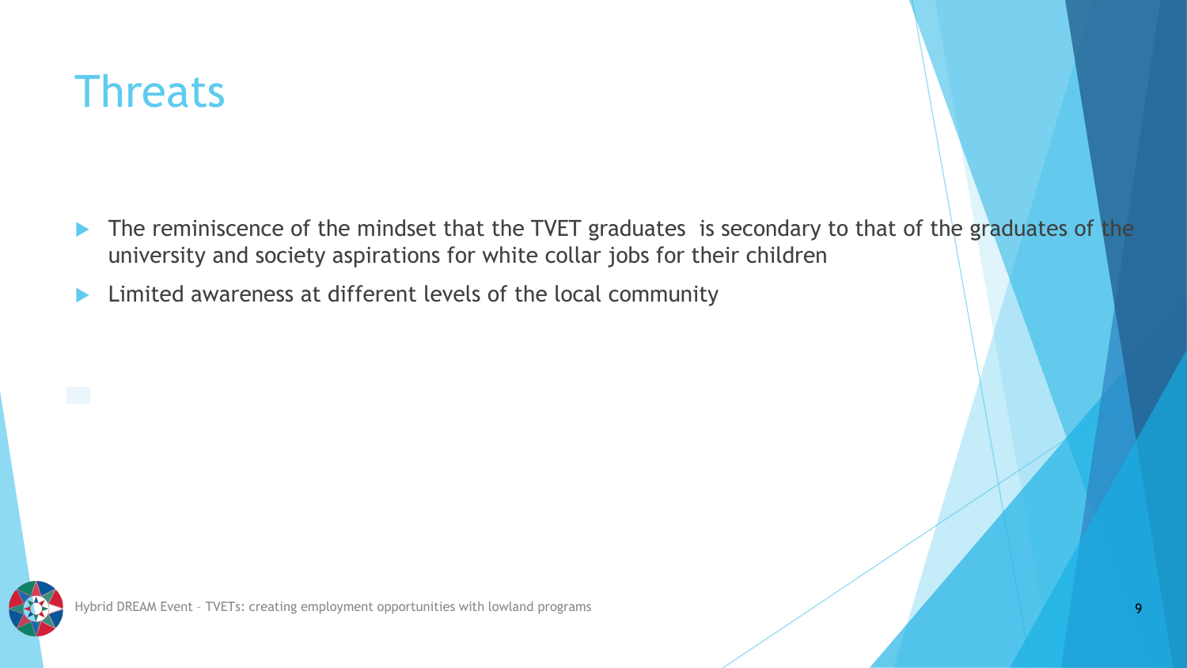#### **Threats**

- The reminiscence of the mindset that the TVET graduates is secondary to that of the graduates of the university and society aspirations for white collar jobs for their children
- **Limited awareness at different levels of the local community**

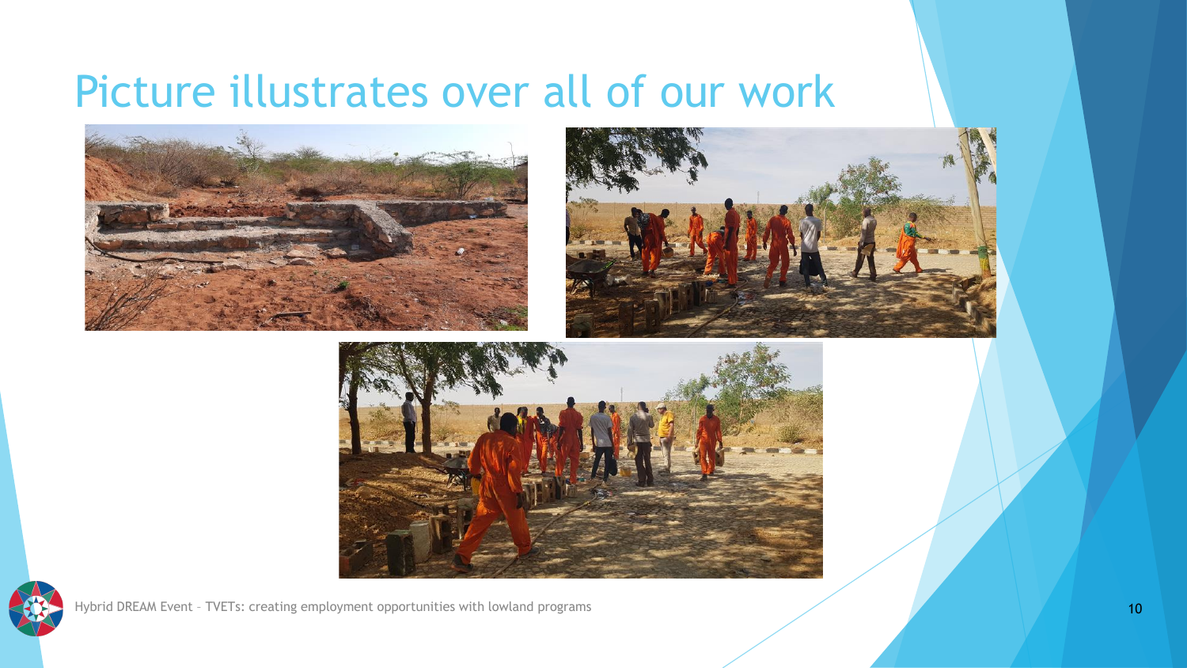#### Picture illustrates over all of our work









Hybrid DREAM Event – TVETs: creating employment opportunities with lowland programs 10